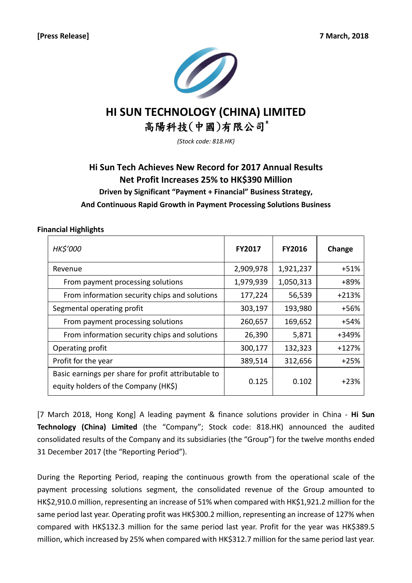

# **HI SUN TECHNOLOGY (CHINA) LIMITED** 高陽科技(中國)有限公司\*

*(Stock code: 818.HK)*

# **Hi Sun Tech Achieves New Record for 2017 Annual Results Net Profit Increases 25% to HK\$390 Million Driven by Significant "Payment + Financial" Business Strategy, And Continuous Rapid Growth in Payment Processing Solutions Business**

## **Financial Highlights**

| <b>HK\$'000</b>                                                                             | <b>FY2017</b> | <b>FY2016</b> | Change  |
|---------------------------------------------------------------------------------------------|---------------|---------------|---------|
| Revenue                                                                                     | 2,909,978     | 1,921,237     | +51%    |
| From payment processing solutions                                                           | 1,979,939     | 1,050,313     | +89%    |
| From information security chips and solutions                                               | 177,224       | 56,539        | $+213%$ |
| Segmental operating profit                                                                  | 303,197       | 193,980       | +56%    |
| From payment processing solutions                                                           | 260,657       | 169,652       | +54%    |
| From information security chips and solutions                                               | 26,390        | 5,871         | +349%   |
| Operating profit                                                                            | 300,177       | 132,323       | $+127%$ |
| Profit for the year                                                                         | 389,514       | 312,656       | $+25%$  |
| Basic earnings per share for profit attributable to<br>equity holders of the Company (HK\$) | 0.125         | 0.102         | $+23%$  |

[7 March 2018, Hong Kong] A leading payment & finance solutions provider in China - **Hi Sun Technology (China) Limited** (the "Company"; Stock code: 818.HK) announced the audited consolidated results of the Company and its subsidiaries (the "Group") for the twelve months ended 31 December 2017 (the "Reporting Period").

During the Reporting Period, reaping the continuous growth from the operational scale of the payment processing solutions segment, the consolidated revenue of the Group amounted to HK\$2,910.0 million, representing an increase of 51% when compared with HK\$1,921.2 million for the same period last year. Operating profit was HK\$300.2 million, representing an increase of 127% when compared with HK\$132.3 million for the same period last year. Profit for the year was HK\$389.5 million, which increased by 25% when compared with HK\$312.7 million for the same period last year.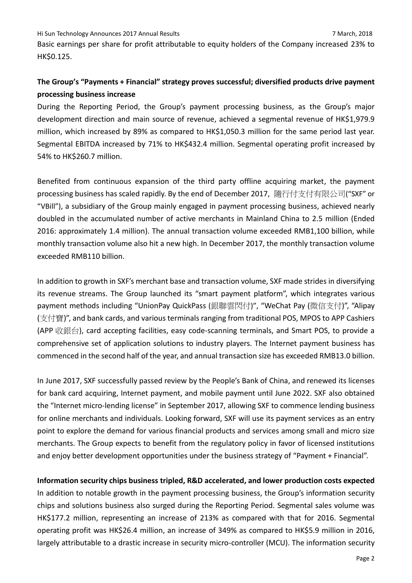Basic earnings per share for profit attributable to equity holders of the Company increased 23% to HK\$0.125.

# **The Group's "Payments + Financial" strategy proves successful; diversified products drive payment processing business increase**

During the Reporting Period, the Group's payment processing business, as the Group's major development direction and main source of revenue, achieved a segmental revenue of HK\$1,979.9 million, which increased by 89% as compared to HK\$1,050.3 million for the same period last year. Segmental EBITDA increased by 71% to HK\$432.4 million. Segmental operating profit increased by 54% to HK\$260.7 million.

Benefited from continuous expansion of the third party offline acquiring market, the payment processing business has scaled rapidly. By the end of December 2017, 隨行付支付有限公司("SXF" or "VBill"), a subsidiary of the Group mainly engaged in payment processing business, achieved nearly doubled in the accumulated number of active merchants in Mainland China to 2.5 million (Ended 2016: approximately 1.4 million). The annual transaction volume exceeded RMB1,100 billion, while monthly transaction volume also hit a new high. In December 2017, the monthly transaction volume exceeded RMB110 billion.

In addition to growth in SXF's merchant base and transaction volume, SXF made strides in diversifying its revenue streams. The Group launched its "smart payment platform", which integrates various payment methods including "UnionPay QuickPass (銀聯雲閃付)", "WeChat Pay (微信支付)", "Alipay (支付寶)", and bank cards, and various terminals ranging from traditional POS, MPOS to APP Cashiers (APP 收銀台), card accepting facilities, easy code-scanning terminals, and Smart POS, to provide a comprehensive set of application solutions to industry players. The Internet payment business has commenced in the second half of the year, and annual transaction size has exceeded RMB13.0 billion.

In June 2017, SXF successfully passed review by the People's Bank of China, and renewed its licenses for bank card acquiring, Internet payment, and mobile payment until June 2022. SXF also obtained the "Internet micro-lending license" in September 2017, allowing SXF to commence lending business for online merchants and individuals. Looking forward, SXF will use its payment services as an entry point to explore the demand for various financial products and services among small and micro size merchants. The Group expects to benefit from the regulatory policy in favor of licensed institutions and enjoy better development opportunities under the business strategy of "Payment + Financial".

**Information security chips business tripled, R&D accelerated, and lower production costs expected** In addition to notable growth in the payment processing business, the Group's information security chips and solutions business also surged during the Reporting Period. Segmental sales volume was HK\$177.2 million, representing an increase of 213% as compared with that for 2016. Segmental operating profit was HK\$26.4 million, an increase of 349% as compared to HK\$5.9 million in 2016, largely attributable to a drastic increase in security micro-controller (MCU). The information security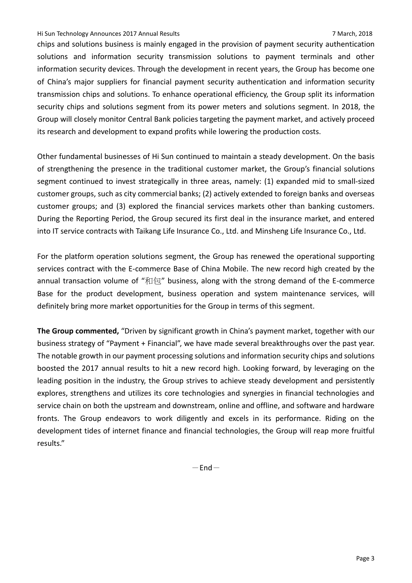### Hi Sun Technology Announces 2017 Annual Results 7 March, 2018

chips and solutions business is mainly engaged in the provision of payment security authentication solutions and information security transmission solutions to payment terminals and other information security devices. Through the development in recent years, the Group has become one of China's major suppliers for financial payment security authentication and information security transmission chips and solutions. To enhance operational efficiency, the Group split its information security chips and solutions segment from its power meters and solutions segment. In 2018, the Group will closely monitor Central Bank policies targeting the payment market, and actively proceed its research and development to expand profits while lowering the production costs.

Other fundamental businesses of Hi Sun continued to maintain a steady development. On the basis of strengthening the presence in the traditional customer market, the Group's financial solutions segment continued to invest strategically in three areas, namely: (1) expanded mid to small-sized customer groups, such as city commercial banks; (2) actively extended to foreign banks and overseas customer groups; and (3) explored the financial services markets other than banking customers. During the Reporting Period, the Group secured its first deal in the insurance market, and entered into IT service contracts with Taikang Life Insurance Co., Ltd. and Minsheng Life Insurance Co., Ltd.

For the platform operation solutions segment, the Group has renewed the operational supporting services contract with the E-commerce Base of China Mobile. The new record high created by the annual transaction volume of "和包" business, along with the strong demand of the E-commerce Base for the product development, business operation and system maintenance services, will definitely bring more market opportunities for the Group in terms of this segment.

**The Group commented,** "Driven by significant growth in China's payment market, together with our business strategy of "Payment + Financial", we have made several breakthroughs over the past year. The notable growth in our payment processing solutions and information security chips and solutions boosted the 2017 annual results to hit a new record high. Looking forward, by leveraging on the leading position in the industry, the Group strives to achieve steady development and persistently explores, strengthens and utilizes its core technologies and synergies in financial technologies and service chain on both the upstream and downstream, online and offline, and software and hardware fronts. The Group endeavors to work diligently and excels in its performance. Riding on the development tides of internet finance and financial technologies, the Group will reap more fruitful results."

 $-$ End $-$